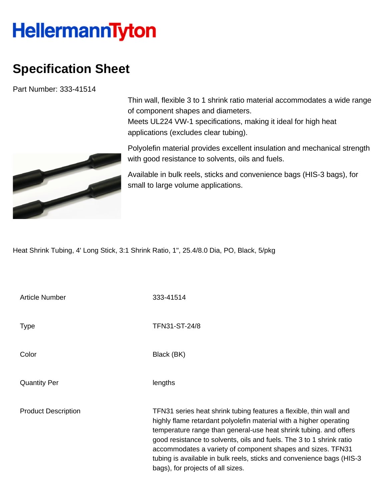## **HellermannTyton**

## **Specification Sheet**

Part Number: 333-41514



Thin wall, flexible 3 to 1 shrink ratio material accommodates a wide range of component shapes and diameters. Meets UL224 VW-1 specifications, making it ideal for high heat applications (excludes clear tubing).

Polyolefin material provides excellent insulation and mechanical strength with good resistance to solvents, oils and fuels.

Available in bulk reels, sticks and convenience bags (HIS-3 bags), for small to large volume applications.

Heat Shrink Tubing, 4' Long Stick, 3:1 Shrink Ratio, 1", 25.4/8.0 Dia, PO, Black, 5/pkg

| Article Number             | 333-41514                                                                                                                                                                                                                                                                                                                                                                                                                                                           |
|----------------------------|---------------------------------------------------------------------------------------------------------------------------------------------------------------------------------------------------------------------------------------------------------------------------------------------------------------------------------------------------------------------------------------------------------------------------------------------------------------------|
| <b>Type</b>                | TFN31-ST-24/8                                                                                                                                                                                                                                                                                                                                                                                                                                                       |
| Color                      | Black (BK)                                                                                                                                                                                                                                                                                                                                                                                                                                                          |
| <b>Quantity Per</b>        | lengths                                                                                                                                                                                                                                                                                                                                                                                                                                                             |
| <b>Product Description</b> | TFN31 series heat shrink tubing features a flexible, thin wall and<br>highly flame retardant polyolefin material with a higher operating<br>temperature range than general-use heat shrink tubing. and offers<br>good resistance to solvents, oils and fuels. The 3 to 1 shrink ratio<br>accommodates a variety of component shapes and sizes. TFN31<br>tubing is available in bulk reels, sticks and convenience bags (HIS-3)<br>bags), for projects of all sizes. |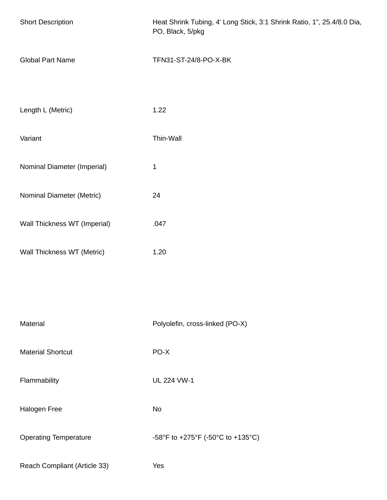| <b>Short Description</b>     | Heat Shrink Tubing, 4' Long Stick, 3:1 Shrink Ratio, 1", 25.4/8.0 Dia,<br>PO, Black, 5/pkg |  |
|------------------------------|--------------------------------------------------------------------------------------------|--|
| <b>Global Part Name</b>      | TFN31-ST-24/8-PO-X-BK                                                                      |  |
| Length L (Metric)            | 1.22                                                                                       |  |
| Variant                      | Thin-Wall                                                                                  |  |
| Nominal Diameter (Imperial)  | $\mathbf 1$                                                                                |  |
| Nominal Diameter (Metric)    | 24                                                                                         |  |
| Wall Thickness WT (Imperial) | .047                                                                                       |  |
| Wall Thickness WT (Metric)   | 1.20                                                                                       |  |
|                              |                                                                                            |  |
| Material                     | Polyolefin, cross-linked (PO-X)                                                            |  |
| <b>Material Shortcut</b>     | PO-X                                                                                       |  |
| Flammability                 | <b>UL 224 VW-1</b>                                                                         |  |
| Halogen Free                 | No                                                                                         |  |
| <b>Operating Temperature</b> | -58°F to +275°F (-50°C to +135°C)                                                          |  |
| Reach Compliant (Article 33) | Yes                                                                                        |  |